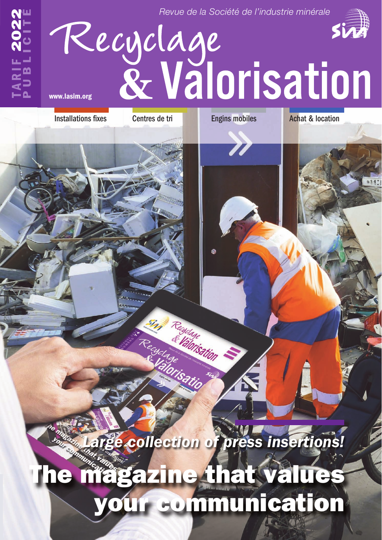#### *Revue de la Société de l'industrie minérale*

# Recyclage sur



**2022**

*Large collection of press insertions!*

## **The magazine that values your communication**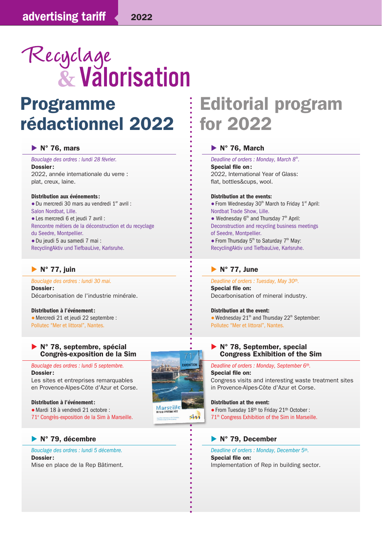## Recyclage<br>& Valorisation

## **Programme rédactionnel 2022**

#### $\blacktriangleright$  N° 76, mars

Bouclage des ordres : lundi 28 février.

 **Dossier:** 2022, année internationale du verre : plat, creux, laine.

● Du mercredi 30 mars au vendredi 1<sup>er</sup> avril :<br>Salon Nordbat, Lille Salon Nordbat, Lille. ●Les mercredi 6 et jeudi 7 avril : Rencontre métiers de la déconstruction et du recyclage

du Seedre, Montpellier. ●Du jeudi 5 au samedi 7 mai :

RecyclingAktiv und TiefbauLive, Karlsruhe.

#### $\blacktriangleright$  **N° 77, juin**

 Bouclage des ordres : lundi 30 mai.  **Dossier:** Décarbonisation de l'industrie minérale.

**Distribution à l'événement:**  $\bullet$  Mercredi 21 et jeudi 22 septembre : Pollutec "Mer et littoral", Nantes.

#### $\blacktriangleright$  **N° 78, septembre, spécial Congrès-exposition de la Sim**

 Bouclage des ordres : lundi 5 septembre. **Dossier:** Les sites et entreprises remarquables en Provence-Alpes-Côte d'Azur et Corse.

Distribution à l'événement : ■<br>■Mardi 18 à vendredi 21 octobre : 71e Congrès-exposition de la Sim à Marseille.

#### $\blacktriangleright$  **N° 79, décembre**

 Bouclage des ordres : lundi 5 décembre.  **Dossier:** Mise en place de la Rep Bâtiment.

## Marseille  $sin<sub>1</sub>$

## **Editorial program for 2022**

#### $\blacktriangleright$  N° 76, March

Deadline of orders : Monday, March 8th.  **Special file on:** 2022, International Year of Glass: flat, bottles&cups, wool.

● From Wednesday 30<sup>th</sup> March to Friday 1<sup>st</sup> April: Nordbat Trade Show, Lille. • Wednesday  $6<sup>th</sup>$  and Thursday  $7<sup>th</sup>$  April: Deconstruction and recycling business meetings of Seedre, Montpellier.

• From Thursday  $5<sup>th</sup>$  to Saturday  $7<sup>th</sup>$  May: RecyclingAktiv und TiefbauLive, Karlsruhe.

#### **1** N° 77, June

 Deadline of orders : Tuesday, May 30th.  **Special file on:** Decarbonisation of mineral industry.

• Wednesday 21<sup>th</sup> and Thursday 22<sup>th</sup> September: Pollutec "Mer et littoral", Nantes.

#### ▶ N° 78, September, special **Congress Exhibition of the Sim**

#### Deadline of orders : Monday, September 6th.

 **Special file on:** Congress visits and interesting waste treatment sites in Provence-Alpes-Côte d'Azur et Corse.

■ **• From Tuesday 18<sup>th</sup> to Friday 21<sup>th</sup> October :** 71<sup>th</sup> Congress Exhibition of the Sim in Marseille.

#### $\blacktriangleright$  **N° 79, December**

Deadline of orders : Monday, December 5<sup>th</sup>.  **Special file on:** Implementation of Rep in building sector.

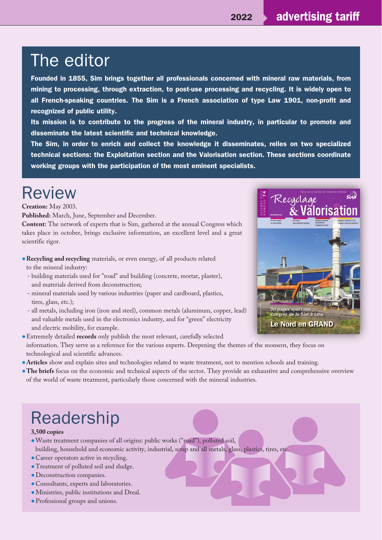#### **2022 advertising tariff**

### The editor

**Founded in 1855, Sim brings together all professionals concerned with mineral raw materials, from mining to processing, through extraction, to post-use processing and recycling. It is widely open to all French-speaking countries. The Sim is a French association of type Law 1901, non-profit and recognized of public utility.**

**Its mission is to contribute to the progress of the mineral industry, in particular to promote and disseminate the latest scientific and technical knowledge.**

**The Sim, in order to enrich and collect the knowledge it disseminates, relies on two specialized technical sections: the Exploitation section and the Valorisation section. These sections coordinate working groups with the participation of the most eminent specialists.**

### Review

**Creation:** May 2003.

**Published:** March, June, September and December.

**Content:** The network of experts that is Sim, gathered at the annual Congress which takes place in october, brings exclusive information, an excellent level and a great scientific rigor.

- ●**Recycling and recycling** materials, or even energy, of all products related
	- to the mineral industry:
	- building materials used for "road" and building (concrete, mortar, plaster), and materials derived from deconstruction;
	- mineral materials used by various industries (paper and cardboard, plastics, tires, glass, etc.);
	- all metals, including iron (iron and steel), common metals (aluminum, copper, lead) and valuable metals used in the electronics industry, and for "green" electricity and electric mobility, for example.
- ●Extremely detailed **records** only publish the most relevant, carefully selected information. They serve as a reference for the various experts. Deepening the themes of the moment, they focus on technological and scientific advances.
- ●**Articles** show and explain sites and technologies related to waste treatment, not to mention schools and training.
- **The briefs** focus on the economic and technical aspects of the sector. They provide an exhaustive and comprehensive overview of the world of waste treatment, particularly those concerned with the mineral industries.

## Readership

#### **3,500 copies**

- ●Waste treatment companies of all origins: public works ("road"), polluted soil, building, household and economic activity, industrial, scrap and all metals, glass, plastics, tires, etc.
- Career operators active in recycling.
- ●Treatment of polluted soil and sludge.
- Deconstruction companies.
- ●Consultants, experts and laboratories.
- ●Ministries, public institutions and Dreal.
- ●Professional groups and unions.